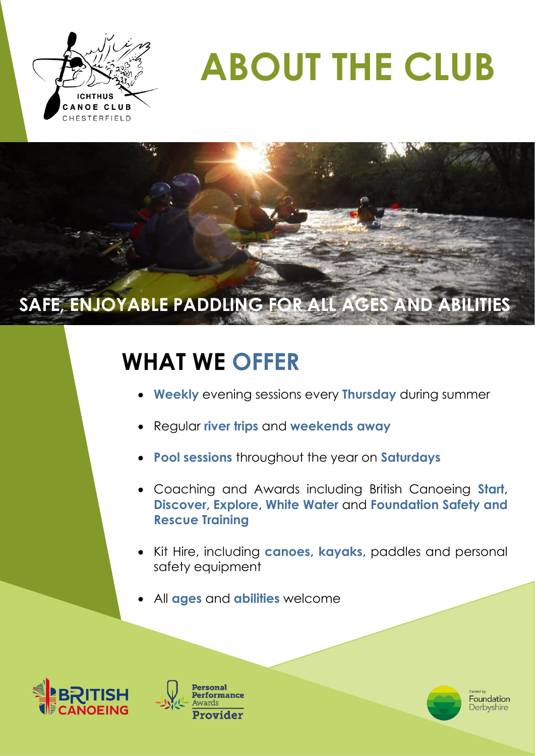

See.

# **ABOUT THE CLUB**

## **SAFE, ENJOYABLE PADDLING FOR ALL AGES AND ABILITIES**

## **WHAT WE OFFER**

- **Weekly** evening sessions every **Thursday** during summer
- Regular **river trips** and **weekends away**
- **Pool sessions** throughout the year on **Saturdays**
- Coaching and Awards including British Canoeing **Start**, **Discover**, **Explore**, **White Water** and **Foundation Safety and Rescue Training**
- Kit Hire, including **canoes**, **kayaks**, paddles and personal safety equipment
- All **ages** and **abilities** welcome